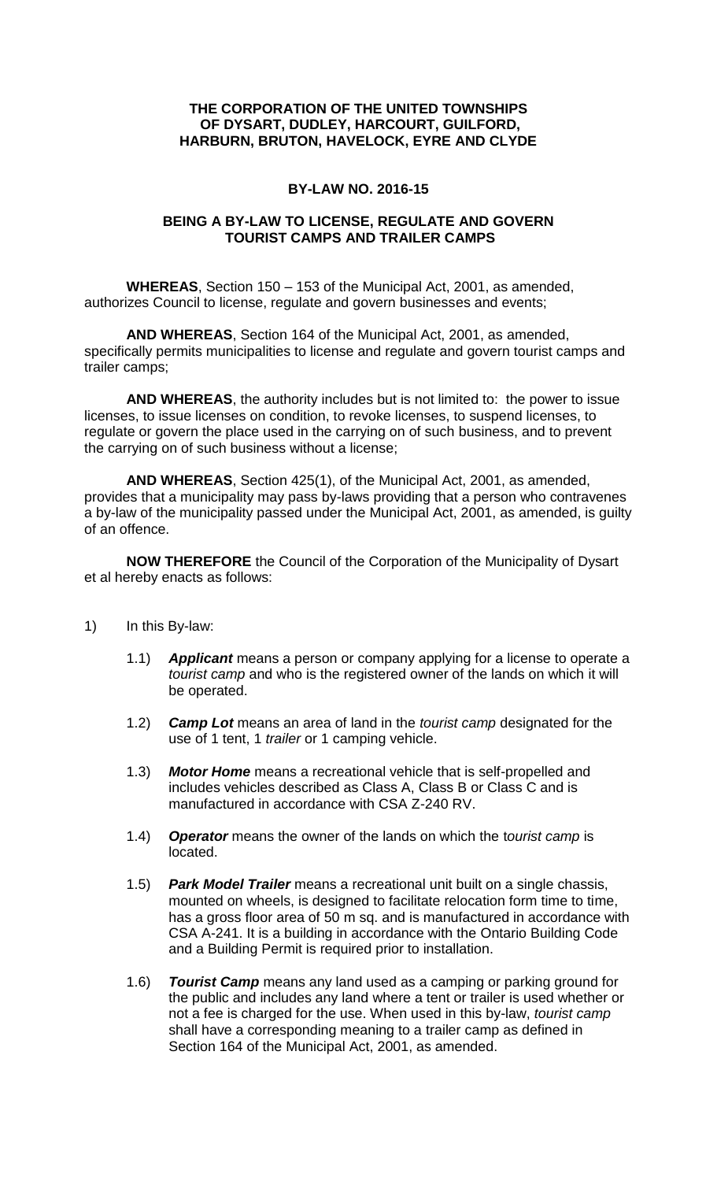## **THE CORPORATION OF THE UNITED TOWNSHIPS OF DYSART, DUDLEY, HARCOURT, GUILFORD, HARBURN, BRUTON, HAVELOCK, EYRE AND CLYDE**

## **BY-LAW NO. 2016-15**

### **BEING A BY-LAW TO LICENSE, REGULATE AND GOVERN TOURIST CAMPS AND TRAILER CAMPS**

**WHEREAS**, Section 150 – 153 of the Municipal Act, 2001, as amended, authorizes Council to license, regulate and govern businesses and events;

**AND WHEREAS**, Section 164 of the Municipal Act, 2001, as amended, specifically permits municipalities to license and regulate and govern tourist camps and trailer camps;

**AND WHEREAS**, the authority includes but is not limited to: the power to issue licenses, to issue licenses on condition, to revoke licenses, to suspend licenses, to regulate or govern the place used in the carrying on of such business, and to prevent the carrying on of such business without a license;

**AND WHEREAS**, Section 425(1), of the Municipal Act, 2001, as amended, provides that a municipality may pass by-laws providing that a person who contravenes a by-law of the municipality passed under the Municipal Act, 2001, as amended, is guilty of an offence.

**NOW THEREFORE** the Council of the Corporation of the Municipality of Dysart et al hereby enacts as follows:

- 1) In this By-law:
	- 1.1) *Applicant* means a person or company applying for a license to operate a *tourist camp* and who is the registered owner of the lands on which it will be operated.
	- 1.2) *Camp Lot* means an area of land in the *tourist camp* designated for the use of 1 tent, 1 *trailer* or 1 camping vehicle.
	- 1.3) *Motor Home* means a recreational vehicle that is self-propelled and includes vehicles described as Class A, Class B or Class C and is manufactured in accordance with CSA Z-240 RV.
	- 1.4) *Operator* means the owner of the lands on which the t*ourist camp* is located.
	- 1.5) *Park Model Trailer* means a recreational unit built on a single chassis, mounted on wheels, is designed to facilitate relocation form time to time, has a gross floor area of 50 m sq. and is manufactured in accordance with CSA A-241. It is a building in accordance with the Ontario Building Code and a Building Permit is required prior to installation.
	- 1.6) *Tourist Camp* means any land used as a camping or parking ground for the public and includes any land where a tent or trailer is used whether or not a fee is charged for the use. When used in this by-law, *tourist camp* shall have a corresponding meaning to a trailer camp as defined in Section 164 of the Municipal Act, 2001, as amended.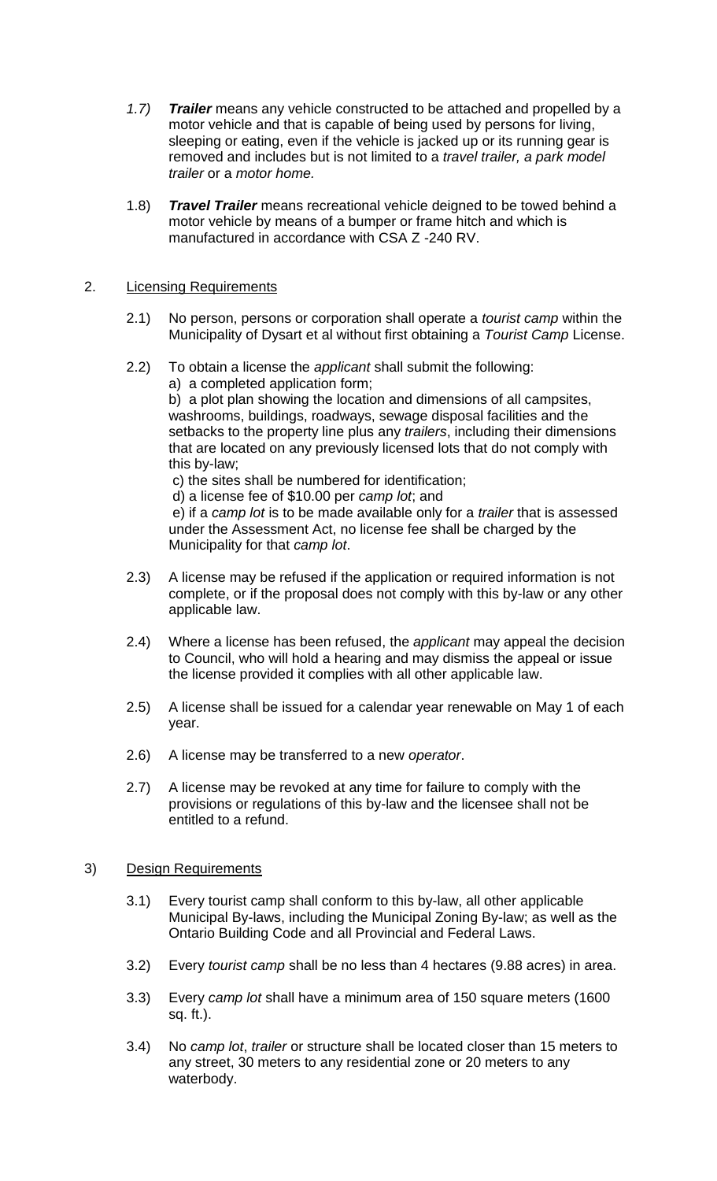- *1.7) Trailer* means any vehicle constructed to be attached and propelled by a motor vehicle and that is capable of being used by persons for living, sleeping or eating, even if the vehicle is jacked up or its running gear is removed and includes but is not limited to a *travel trailer, a park model trailer* or a *motor home.*
- 1.8) *Travel Trailer* means recreational vehicle deigned to be towed behind a motor vehicle by means of a bumper or frame hitch and which is manufactured in accordance with CSA Z -240 RV.

# 2. Licensing Requirements

- 2.1) No person, persons or corporation shall operate a *tourist camp* within the Municipality of Dysart et al without first obtaining a *Tourist Camp* License.
- 2.2) To obtain a license the *applicant* shall submit the following: a) a completed application form; b) a plot plan showing the location and dimensions of all campsites, washrooms, buildings, roadways, sewage disposal facilities and the setbacks to the property line plus any *trailers*, including their dimensions that are located on any previously licensed lots that do not comply with this by-law;

c) the sites shall be numbered for identification;

d) a license fee of \$10.00 per *camp lot*; and

e) if a *camp lot* is to be made available only for a *trailer* that is assessed under the Assessment Act, no license fee shall be charged by the Municipality for that *camp lot*.

- 2.3) A license may be refused if the application or required information is not complete, or if the proposal does not comply with this by-law or any other applicable law.
- 2.4) Where a license has been refused, the *applicant* may appeal the decision to Council, who will hold a hearing and may dismiss the appeal or issue the license provided it complies with all other applicable law.
- 2.5) A license shall be issued for a calendar year renewable on May 1 of each year.
- 2.6) A license may be transferred to a new *operator*.
- 2.7) A license may be revoked at any time for failure to comply with the provisions or regulations of this by-law and the licensee shall not be entitled to a refund.

#### 3) Design Requirements

- 3.1) Every tourist camp shall conform to this by-law, all other applicable Municipal By-laws, including the Municipal Zoning By-law; as well as the Ontario Building Code and all Provincial and Federal Laws.
- 3.2) Every *tourist camp* shall be no less than 4 hectares (9.88 acres) in area.
- 3.3) Every *camp lot* shall have a minimum area of 150 square meters (1600 sq. ft.).
- 3.4) No *camp lot*, *trailer* or structure shall be located closer than 15 meters to any street, 30 meters to any residential zone or 20 meters to any waterbody.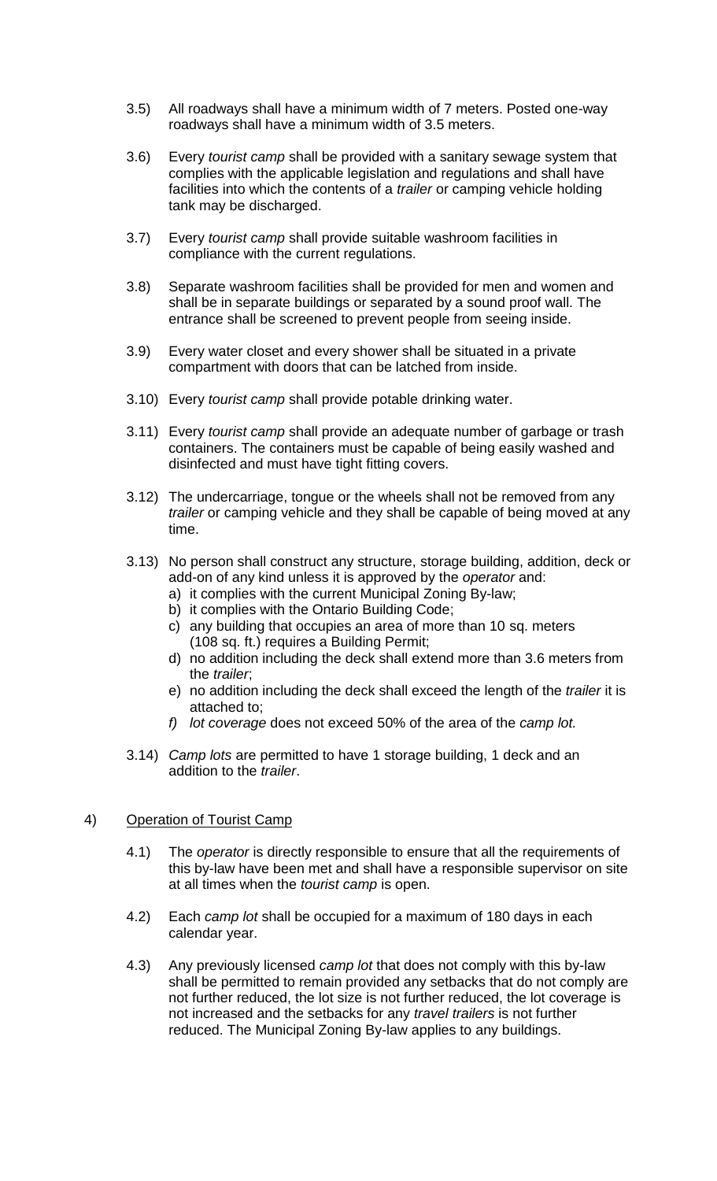- 3.5) All roadways shall have a minimum width of 7 meters. Posted one-way roadways shall have a minimum width of 3.5 meters.
- 3.6) Every *tourist camp* shall be provided with a sanitary sewage system that complies with the applicable legislation and regulations and shall have facilities into which the contents of a *trailer* or camping vehicle holding tank may be discharged.
- 3.7) Every *tourist camp* shall provide suitable washroom facilities in compliance with the current regulations.
- 3.8) Separate washroom facilities shall be provided for men and women and shall be in separate buildings or separated by a sound proof wall. The entrance shall be screened to prevent people from seeing inside.
- 3.9) Every water closet and every shower shall be situated in a private compartment with doors that can be latched from inside.
- 3.10) Every *tourist camp* shall provide potable drinking water.
- 3.11) Every *tourist camp* shall provide an adequate number of garbage or trash containers. The containers must be capable of being easily washed and disinfected and must have tight fitting covers.
- 3.12) The undercarriage, tongue or the wheels shall not be removed from any *trailer* or camping vehicle and they shall be capable of being moved at any time.
- 3.13) No person shall construct any structure, storage building, addition, deck or add-on of any kind unless it is approved by the *operator* and:
	- a) it complies with the current Municipal Zoning By-law;
	- b) it complies with the Ontario Building Code;
	- c) any building that occupies an area of more than 10 sq. meters (108 sq. ft.) requires a Building Permit;
	- d) no addition including the deck shall extend more than 3.6 meters from the *trailer*;
	- e) no addition including the deck shall exceed the length of the *trailer* it is attached to;
	- *f) lot coverage* does not exceed 50% of the area of the *camp lot.*
- 3.14) *Camp lots* are permitted to have 1 storage building, 1 deck and an addition to the *trailer*.

# 4) Operation of Tourist Camp

- 4.1) The *operator* is directly responsible to ensure that all the requirements of this by-law have been met and shall have a responsible supervisor on site at all times when the *tourist camp* is open.
- 4.2) Each *camp lot* shall be occupied for a maximum of 180 days in each calendar year.
- 4.3) Any previously licensed *camp lot* that does not comply with this by-law shall be permitted to remain provided any setbacks that do not comply are not further reduced, the lot size is not further reduced, the lot coverage is not increased and the setbacks for any *travel trailers* is not further reduced. The Municipal Zoning By-law applies to any buildings.